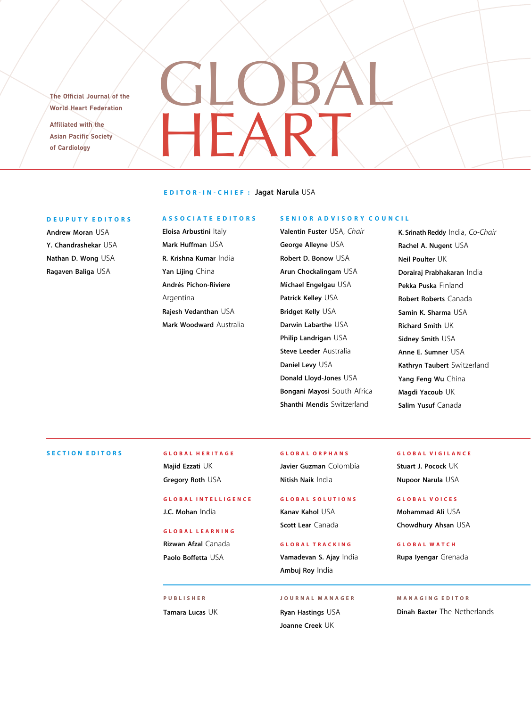The Official Journal of the World Heart Federation Affiliated with the Asian Pacific Society of Cardiology

### EDITOR-IN-CHIEF : Jagat Narula USA

HEART

GLOBAL

#### DEUPUTY EDITORS

Andrew Moran USA Y. Chandrashekar USA Nathan D. Wong USA Ragaven Baliga USA

#### ASSOCIATE EDITORS

Eloisa Arbustini Italy Mark Huffman USA R. Krishna Kumar India Yan Lijing China Andrés Pichon-Riviere Argentina Rajesh Vedanthan USA Mark Woodward Australia

#### SENIOR ADVISORY COUNCIL

Valentin Fuster USA, Chair George Alleyne USA Robert D. Bonow USA Arun Chockalingam USA Michael Engelgau USA Patrick Kelley USA Bridget Kelly USA Darwin Labarthe USA Philip Landrigan USA Steve Leeder Australia Daniel Levy USA Donald Lloyd-Jones USA Bongani Mayosi South Africa Shanthi Mendis Switzerland

K. Srinath Reddy India, Co-Chair Rachel A. Nugent USA Neil Poulter UK Dorairaj Prabhakaran India Pekka Puska Finland Robert Roberts Canada Samin K. Sharma USA Richard Smith UK Sidney Smith USA Anne E. Sumner USA Kathryn Taubert Switzerland Yang Feng Wu China Magdi Yacoub UK Salim Yusuf Canada

### SECTION EDITORS GLOBAL HERITAGE

Majid Ezzati UK Gregory Roth USA

# GLOBAL INTELLIGENCE J.C. Mohan India

Rizwan Afzal Canada Paolo Boffetta USA

PUBLISHER Tamara Lucas UK GLOBAL ORPHANS Javier Guzman Colombia Nitish Naik India

# GLOBAL SOLUTIONS Kanav Kahol USA Scott Lear Canada

GLOBAL TRACKING Vamadevan S. Ajay India Ambuj Roy India

Ryan Hastings USA Joanne Creek UK

JOURNAL MANAGER

# GLOBAL VIGILANCE

Stuart J. Pocock UK Nupoor Narula USA

## GLOBAL VOICES

Mohammad Ali USA GLOBAL LEARNING<br>
Scott Lear Canada<br>
Scott Lear Canada<br>
Chowdhury Ahsan USA

# GLOBAL WATCH Rupa Iyengar Grenada

## MANAGING EDITOR

Dinah Baxter The Netherlands